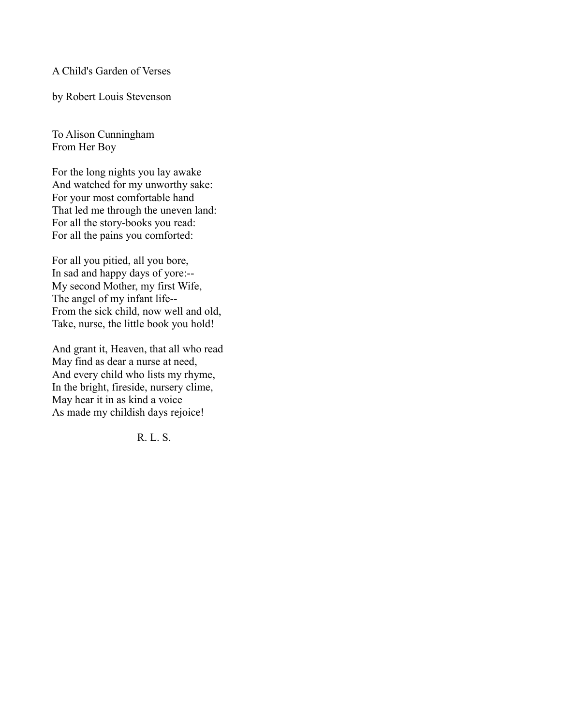A Child's Garden of Verses

by Robert Louis Stevenson

To Alison Cunningham From Her Boy

For the long nights you lay awake And watched for my unworthy sake: For your most comfortable hand That led me through the uneven land: For all the story-books you read: For all the pains you comforted:

For all you pitied, all you bore, In sad and happy days of yore:-- My second Mother, my first Wife, The angel of my infant life-- From the sick child, now well and old, Take, nurse, the little book you hold!

And grant it, Heaven, that all who read May find as dear a nurse at need, And every child who lists my rhyme, In the bright, fireside, nursery clime, May hear it in as kind a voice As made my childish days rejoice!

R. L. S.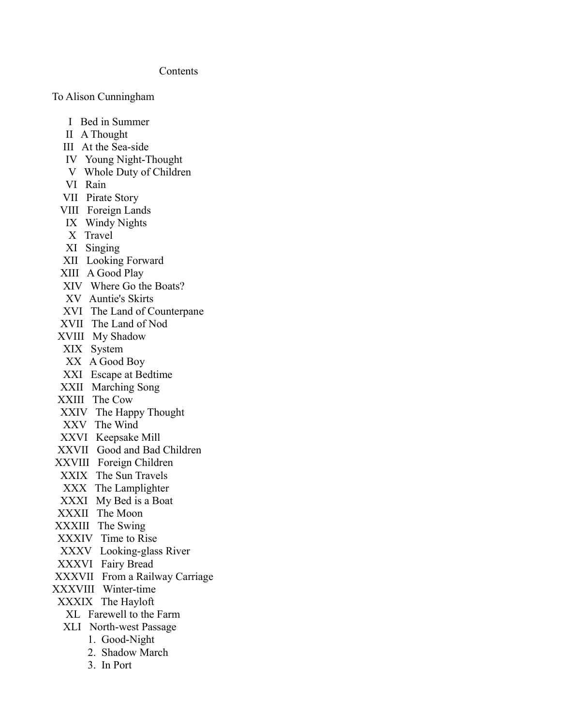### Contents

To Alison Cunningham

- I Bed in Summer
- II A Thought
- III At the Sea-side
- IV Young Night-Thought
- V Whole Duty of Children
- VI Rain
- VII Pirate Story
- VIII Foreign Lands
- IX Windy Nights
- X Travel
- XI Singing
- XII Looking Forward
- XIII A Good Play
- XIV Where Go the Boats?
- XV Auntie's Skirts
- XVI The Land of Counterpane
- XVII The Land of Nod
- XVIII My Shadow
- XIX System
- XX A Good Boy
- XXI Escape at Bedtime
- XXII Marching Song
- XXIII The Cow
- XXIV The Happy Thought
- XXV The Wind
- XXVI Keepsake Mill
- XXVII Good and Bad Children
- XXVIII Foreign Children
- XXIX The Sun Travels
- XXX The Lamplighter
- XXXI My Bed is a Boat
- XXXII The Moon
- XXXIII The Swing
- XXXIV Time to Rise
- XXXV Looking-glass River
- XXXVI Fairy Bread
- XXXVII From a Railway Carriage
- XXXVIII Winter-time
- XXXIX The Hayloft
	- XL Farewell to the Farm
	- XLI North-west Passage
		- 1. Good-Night
		- 2. Shadow March
		- 3. In Port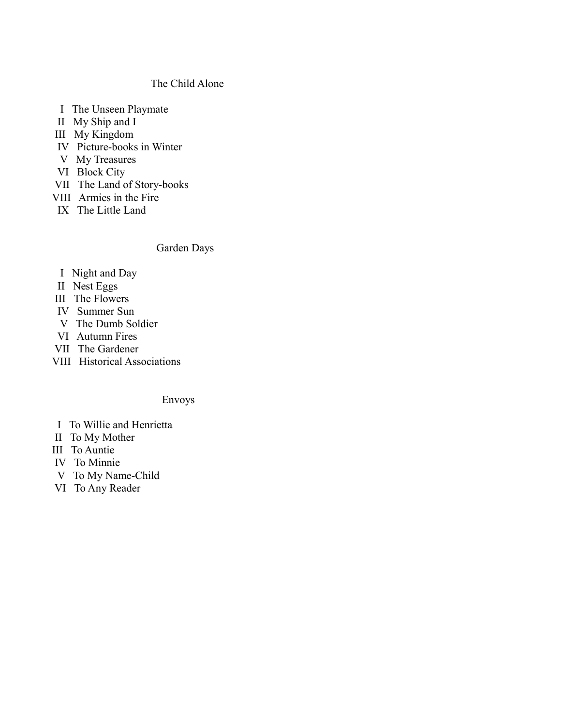### The Child Alone

- I The Unseen Playmate
- II My Ship and I
- III My Kingdom
- IV Picture-books in Winter
- V My Treasures
- VI Block City
- VII The Land of Story-books
- VIII Armies in the Fire
- IX The Little Land

# Garden Days

- I Night and Day
- II Nest Eggs
- III The Flowers
- IV Summer Sun
- V The Dumb Soldier
- VI Autumn Fires
- VII The Gardener
- VIII Historical Associations

### Envoys

- I To Willie and Henrietta
- II To My Mother
- III To Auntie
- IV To Minnie
- V To My Name-Child
- VI To Any Reader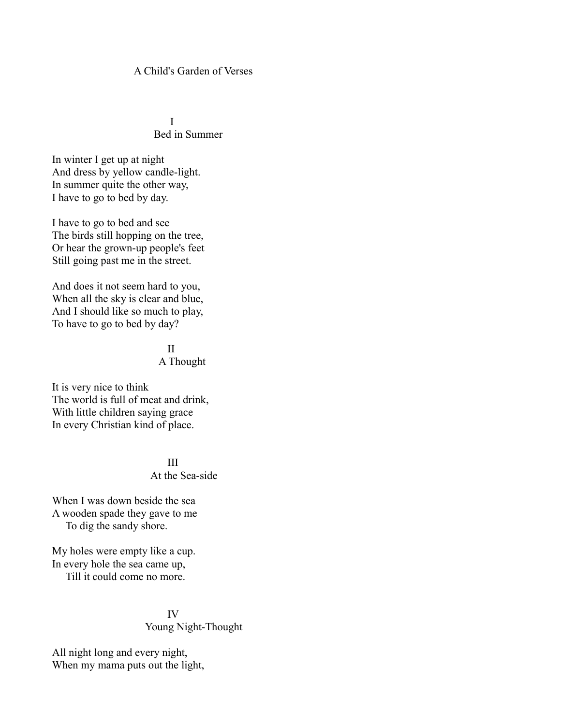### A Child's Garden of Verses

 I Bed in Summer

In winter I get up at night And dress by yellow candle-light. In summer quite the other way, I have to go to bed by day.

I have to go to bed and see The birds still hopping on the tree, Or hear the grown-up people's feet Still going past me in the street.

And does it not seem hard to you, When all the sky is clear and blue, And I should like so much to play, To have to go to bed by day?

<u>III am Bàrd ann an Dùbhlachd ann an Dùbhlachd ann an Dùbhlachd ann an Dùbhlachd ann an Dùbhlachd ann an Dùbhlachd ann an Dùbhlachd ann an Dùbhlachd ann an Dùbhlachd ann an Dùbhlachd ann an Dùbhlachd ann an Dùbhlachd ann a</u> A Thought

It is very nice to think The world is full of meat and drink, With little children saying grace In every Christian kind of place.

**III** 

At the Sea-side

When I was down beside the sea A wooden spade they gave to me To dig the sandy shore.

My holes were empty like a cup. In every hole the sea came up, Till it could come no more.

### IV Young Night-Thought

All night long and every night, When my mama puts out the light,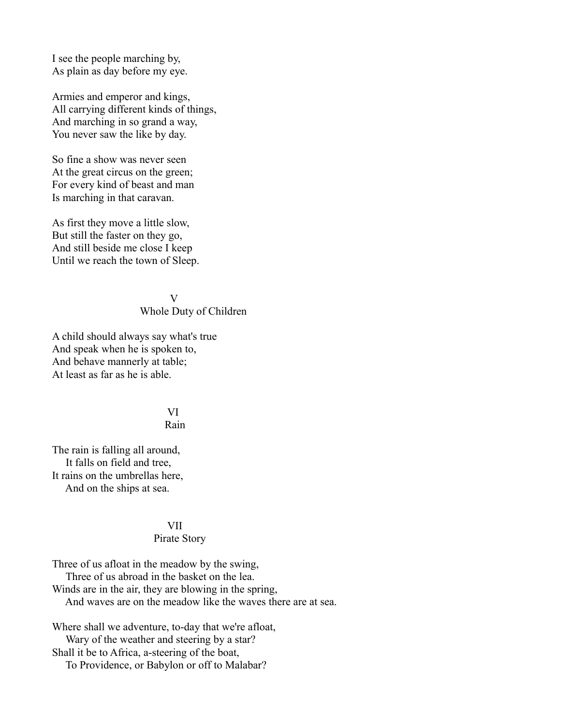I see the people marching by, As plain as day before my eye.

Armies and emperor and kings, All carrying different kinds of things, And marching in so grand a way, You never saw the like by day.

So fine a show was never seen At the great circus on the green; For every kind of beast and man Is marching in that caravan.

As first they move a little slow, But still the faster on they go, And still beside me close I keep Until we reach the town of Sleep.

V

#### Whole Duty of Children

A child should always say what's true And speak when he is spoken to, And behave mannerly at table; At least as far as he is able.

# VI

### Rain

The rain is falling all around, It falls on field and tree, It rains on the umbrellas here, And on the ships at sea.

### VII

### Pirate Story

Three of us afloat in the meadow by the swing, Three of us abroad in the basket on the lea. Winds are in the air, they are blowing in the spring, And waves are on the meadow like the waves there are at sea.

Where shall we adventure, to-day that we're afloat, Wary of the weather and steering by a star? Shall it be to Africa, a-steering of the boat, To Providence, or Babylon or off to Malabar?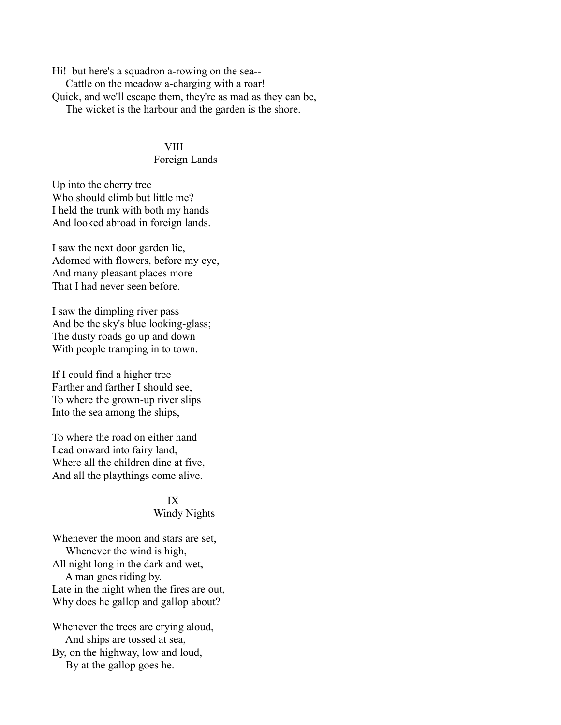Hi! but here's a squadron a-rowing on the sea-- Cattle on the meadow a-charging with a roar! Quick, and we'll escape them, they're as mad as they can be, The wicket is the harbour and the garden is the shore.

#### **VIII**

### Foreign Lands

Up into the cherry tree Who should climb but little me? I held the trunk with both my hands And looked abroad in foreign lands.

I saw the next door garden lie, Adorned with flowers, before my eye, And many pleasant places more That I had never seen before.

I saw the dimpling river pass And be the sky's blue looking-glass; The dusty roads go up and down With people tramping in to town.

If I could find a higher tree Farther and farther I should see, To where the grown-up river slips Into the sea among the ships,

To where the road on either hand Lead onward into fairy land, Where all the children dine at five, And all the playthings come alive.

### IX

### Windy Nights

Whenever the moon and stars are set, Whenever the wind is high, All night long in the dark and wet, A man goes riding by. Late in the night when the fires are out, Why does he gallop and gallop about?

Whenever the trees are crying aloud, And ships are tossed at sea, By, on the highway, low and loud, By at the gallop goes he.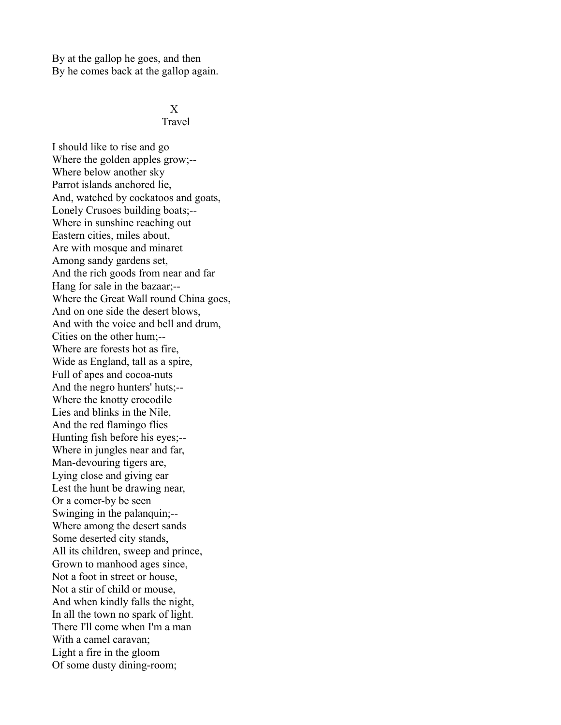By at the gallop he goes, and then By he comes back at the gallop again.

#### X Travel

I should like to rise and go Where the golden apples grow;-- Where below another sky Parrot islands anchored lie, And, watched by cockatoos and goats, Lonely Crusoes building boats;-- Where in sunshine reaching out Eastern cities, miles about, Are with mosque and minaret Among sandy gardens set, And the rich goods from near and far Hang for sale in the bazaar;-- Where the Great Wall round China goes, And on one side the desert blows, And with the voice and bell and drum, Cities on the other hum;-- Where are forests hot as fire, Wide as England, tall as a spire, Full of apes and cocoa-nuts And the negro hunters' huts;-- Where the knotty crocodile Lies and blinks in the Nile, And the red flamingo flies Hunting fish before his eyes;-- Where in jungles near and far, Man-devouring tigers are, Lying close and giving ear Lest the hunt be drawing near, Or a comer-by be seen Swinging in the palanquin;-- Where among the desert sands Some deserted city stands, All its children, sweep and prince, Grown to manhood ages since, Not a foot in street or house, Not a stir of child or mouse, And when kindly falls the night, In all the town no spark of light. There I'll come when I'm a man With a camel caravan; Light a fire in the gloom Of some dusty dining-room;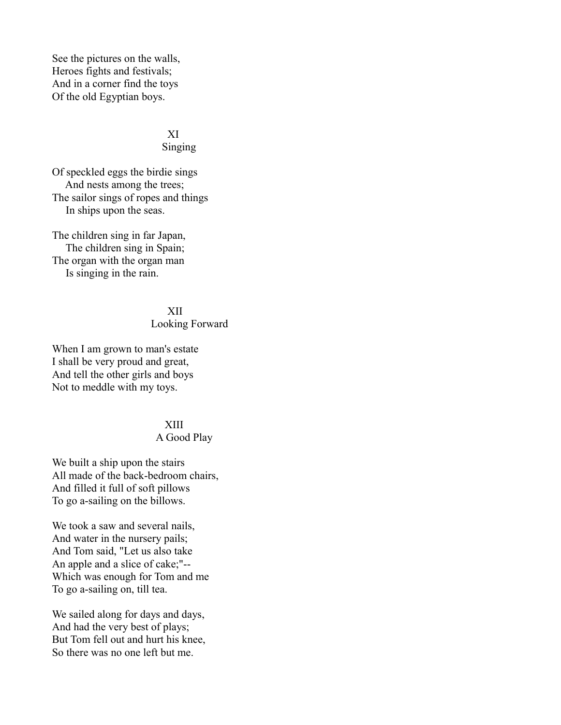See the pictures on the walls, Heroes fights and festivals; And in a corner find the toys Of the old Egyptian boys.

#### XI Singing

Of speckled eggs the birdie sings And nests among the trees; The sailor sings of ropes and things In ships upon the seas.

The children sing in far Japan, The children sing in Spain; The organ with the organ man Is singing in the rain.

### XII

### Looking Forward

When I am grown to man's estate I shall be very proud and great, And tell the other girls and boys Not to meddle with my toys.

### XIII

### A Good Play

We built a ship upon the stairs All made of the back-bedroom chairs, And filled it full of soft pillows To go a-sailing on the billows.

We took a saw and several nails, And water in the nursery pails; And Tom said, "Let us also take An apple and a slice of cake;"-- Which was enough for Tom and me To go a-sailing on, till tea.

We sailed along for days and days, And had the very best of plays; But Tom fell out and hurt his knee, So there was no one left but me.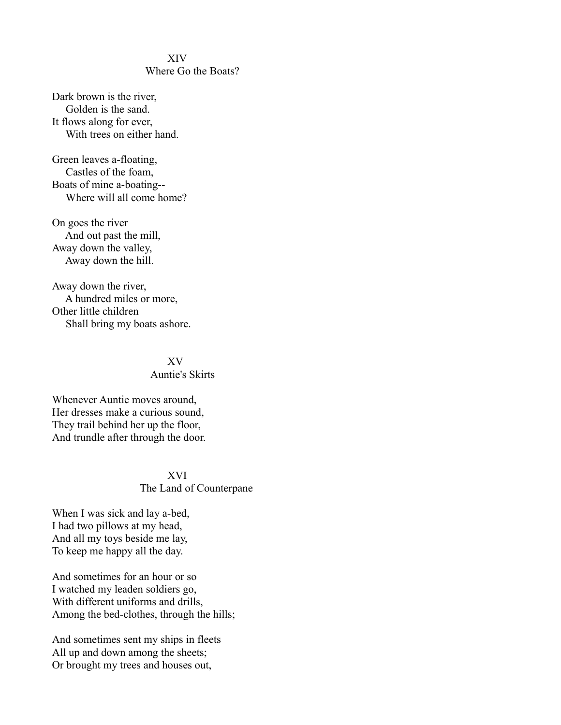### XIV Where Go the Boats?

Dark brown is the river, Golden is the sand. It flows along for ever, With trees on either hand.

Green leaves a-floating, Castles of the foam, Boats of mine a-boating-- Where will all come home?

On goes the river And out past the mill, Away down the valley, Away down the hill.

Away down the river, A hundred miles or more, Other little children Shall bring my boats ashore.

### XV Auntie's Skirts

Whenever Auntie moves around, Her dresses make a curious sound, They trail behind her up the floor, And trundle after through the door.

### XVI The Land of Counterpane

When I was sick and lay a-bed, I had two pillows at my head, And all my toys beside me lay, To keep me happy all the day.

And sometimes for an hour or so I watched my leaden soldiers go, With different uniforms and drills, Among the bed-clothes, through the hills;

And sometimes sent my ships in fleets All up and down among the sheets; Or brought my trees and houses out,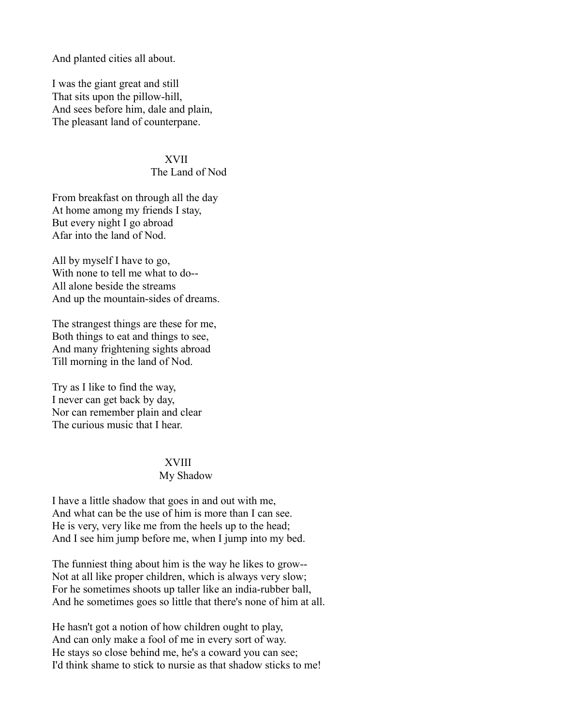And planted cities all about.

I was the giant great and still That sits upon the pillow-hill, And sees before him, dale and plain, The pleasant land of counterpane.

#### XVII

#### The Land of Nod

From breakfast on through all the day At home among my friends I stay, But every night I go abroad Afar into the land of Nod.

All by myself I have to go, With none to tell me what to do-- All alone beside the streams And up the mountain-sides of dreams.

The strangest things are these for me, Both things to eat and things to see, And many frightening sights abroad Till morning in the land of Nod.

Try as I like to find the way, I never can get back by day, Nor can remember plain and clear The curious music that I hear.

#### XVIII

#### My Shadow

I have a little shadow that goes in and out with me, And what can be the use of him is more than I can see. He is very, very like me from the heels up to the head; And I see him jump before me, when I jump into my bed.

The funniest thing about him is the way he likes to grow-- Not at all like proper children, which is always very slow; For he sometimes shoots up taller like an india-rubber ball, And he sometimes goes so little that there's none of him at all.

He hasn't got a notion of how children ought to play, And can only make a fool of me in every sort of way. He stays so close behind me, he's a coward you can see; I'd think shame to stick to nursie as that shadow sticks to me!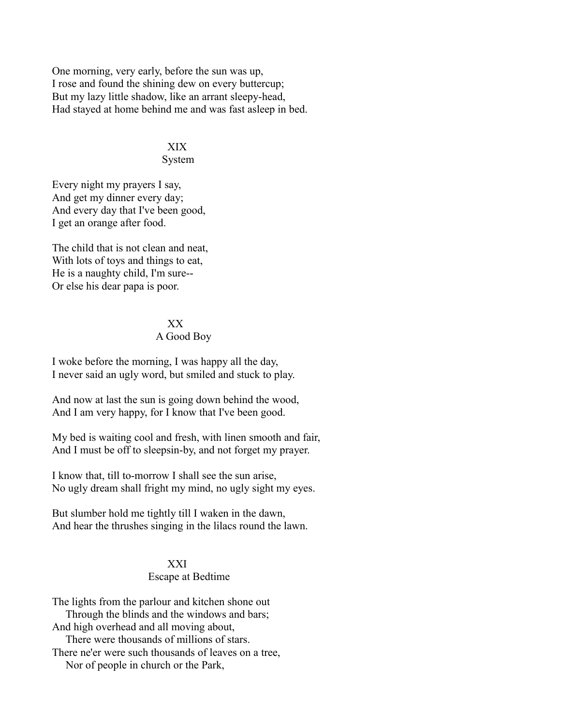One morning, very early, before the sun was up, I rose and found the shining dew on every buttercup; But my lazy little shadow, like an arrant sleepy-head, Had stayed at home behind me and was fast asleep in bed.

# XIX

#### System

Every night my prayers I say, And get my dinner every day; And every day that I've been good, I get an orange after food.

The child that is not clean and neat, With lots of toys and things to eat, He is a naughty child, I'm sure-- Or else his dear papa is poor.

### XX A Good Boy

I woke before the morning, I was happy all the day, I never said an ugly word, but smiled and stuck to play.

And now at last the sun is going down behind the wood, And I am very happy, for I know that I've been good.

My bed is waiting cool and fresh, with linen smooth and fair, And I must be off to sleepsin-by, and not forget my prayer.

I know that, till to-morrow I shall see the sun arise, No ugly dream shall fright my mind, no ugly sight my eyes.

But slumber hold me tightly till I waken in the dawn, And hear the thrushes singing in the lilacs round the lawn.

### XXI Escape at Bedtime

The lights from the parlour and kitchen shone out Through the blinds and the windows and bars; And high overhead and all moving about, There were thousands of millions of stars. There ne'er were such thousands of leaves on a tree, Nor of people in church or the Park,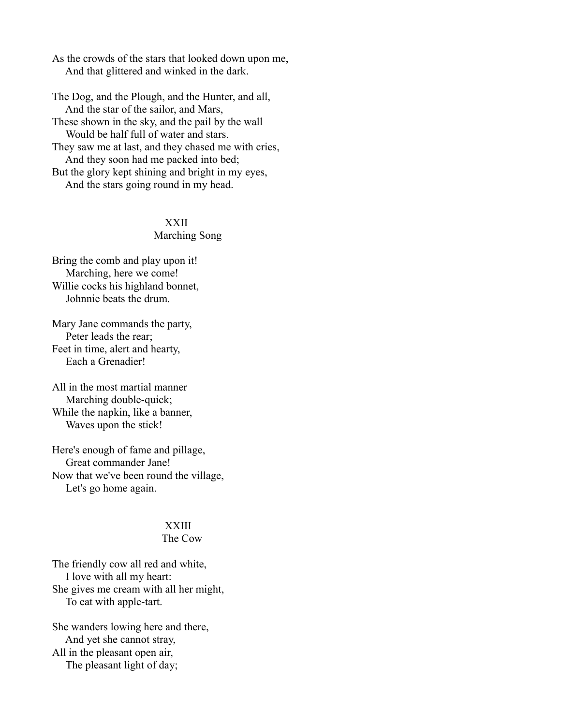As the crowds of the stars that looked down upon me, And that glittered and winked in the dark.

The Dog, and the Plough, and the Hunter, and all, And the star of the sailor, and Mars, These shown in the sky, and the pail by the wall Would be half full of water and stars. They saw me at last, and they chased me with cries, And they soon had me packed into bed; But the glory kept shining and bright in my eyes,

And the stars going round in my head.

### XXII

#### Marching Song

Bring the comb and play upon it! Marching, here we come! Willie cocks his highland bonnet, Johnnie beats the drum.

Mary Jane commands the party, Peter leads the rear; Feet in time, alert and hearty, Each a Grenadier!

All in the most martial manner Marching double-quick; While the napkin, like a banner, Waves upon the stick!

Here's enough of fame and pillage, Great commander Jane! Now that we've been round the village, Let's go home again.

### XXIII

# The Cow

The friendly cow all red and white, I love with all my heart: She gives me cream with all her might, To eat with apple-tart.

She wanders lowing here and there, And yet she cannot stray, All in the pleasant open air, The pleasant light of day;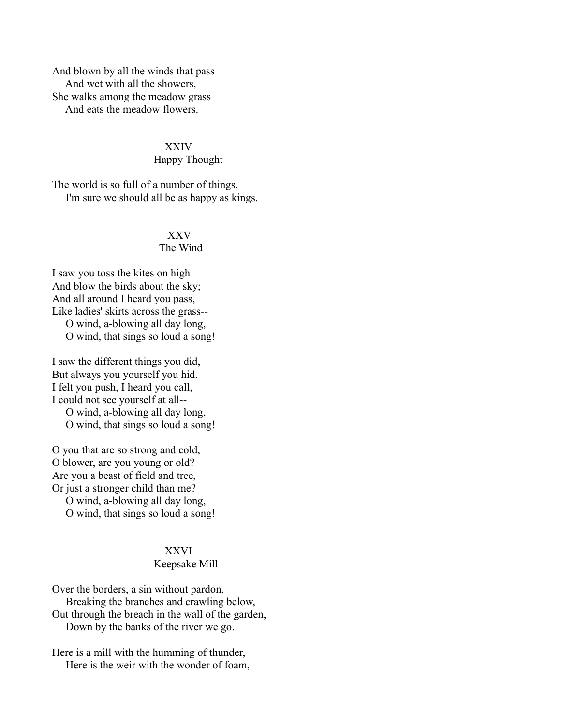And blown by all the winds that pass And wet with all the showers, She walks among the meadow grass And eats the meadow flowers.

#### XXIV

#### Happy Thought

The world is so full of a number of things, I'm sure we should all be as happy as kings.

# XXV

### The Wind

I saw you toss the kites on high And blow the birds about the sky; And all around I heard you pass, Like ladies' skirts across the grass-- O wind, a-blowing all day long, O wind, that sings so loud a song!

I saw the different things you did, But always you yourself you hid. I felt you push, I heard you call, I could not see yourself at all--

 O wind, a-blowing all day long, O wind, that sings so loud a song!

O you that are so strong and cold, O blower, are you young or old? Are you a beast of field and tree, Or just a stronger child than me? O wind, a-blowing all day long, O wind, that sings so loud a song!

### XXVI

### Keepsake Mill

Over the borders, a sin without pardon, Breaking the branches and crawling below, Out through the breach in the wall of the garden, Down by the banks of the river we go.

Here is a mill with the humming of thunder, Here is the weir with the wonder of foam,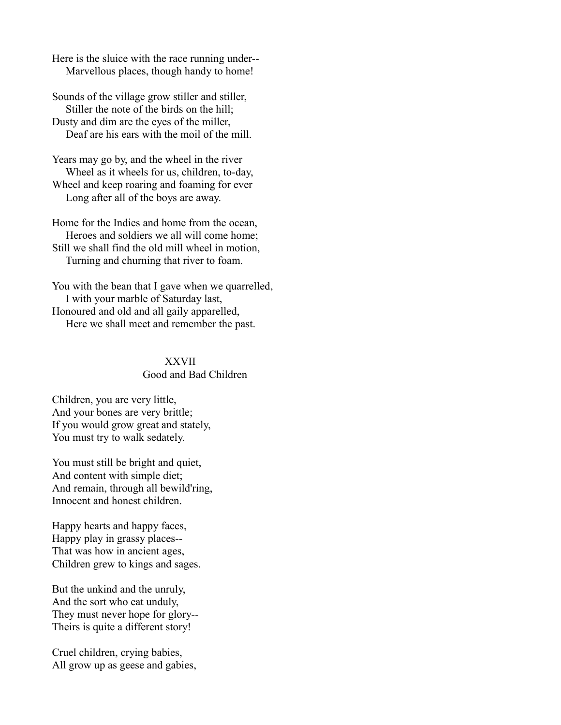Here is the sluice with the race running under-- Marvellous places, though handy to home!

Sounds of the village grow stiller and stiller, Stiller the note of the birds on the hill; Dusty and dim are the eyes of the miller, Deaf are his ears with the moil of the mill.

Years may go by, and the wheel in the river Wheel as it wheels for us, children, to-day, Wheel and keep roaring and foaming for ever Long after all of the boys are away.

Home for the Indies and home from the ocean, Heroes and soldiers we all will come home; Still we shall find the old mill wheel in motion, Turning and churning that river to foam.

You with the bean that I gave when we quarrelled, I with your marble of Saturday last, Honoured and old and all gaily apparelled, Here we shall meet and remember the past.

### XXVII Good and Bad Children

Children, you are very little, And your bones are very brittle; If you would grow great and stately, You must try to walk sedately.

You must still be bright and quiet, And content with simple diet; And remain, through all bewild'ring, Innocent and honest children.

Happy hearts and happy faces, Happy play in grassy places-- That was how in ancient ages, Children grew to kings and sages.

But the unkind and the unruly, And the sort who eat unduly, They must never hope for glory-- Theirs is quite a different story!

Cruel children, crying babies, All grow up as geese and gabies,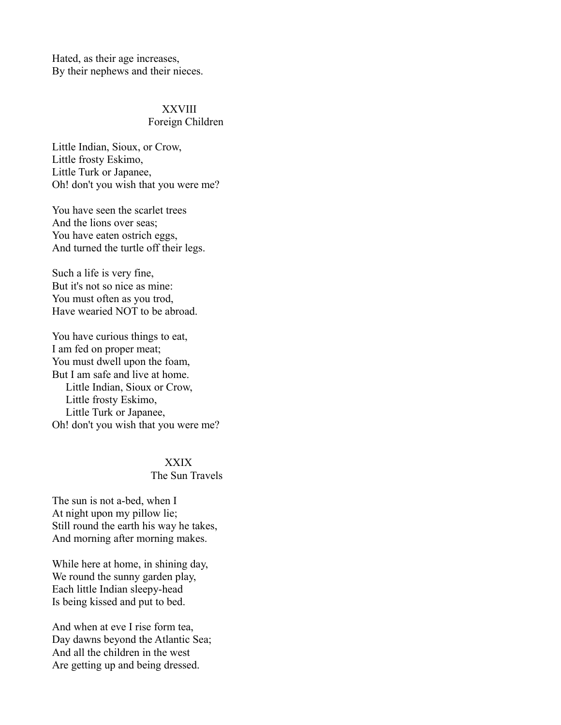Hated, as their age increases, By their nephews and their nieces.

# XXVIII

### Foreign Children

Little Indian, Sioux, or Crow, Little frosty Eskimo, Little Turk or Japanee, Oh! don't you wish that you were me?

You have seen the scarlet trees And the lions over seas; You have eaten ostrich eggs, And turned the turtle off their legs.

Such a life is very fine, But it's not so nice as mine: You must often as you trod, Have wearied NOT to be abroad.

You have curious things to eat, I am fed on proper meat; You must dwell upon the foam, But I am safe and live at home. Little Indian, Sioux or Crow, Little frosty Eskimo, Little Turk or Japanee, Oh! don't you wish that you were me?

#### XXIX

### The Sun Travels

The sun is not a-bed, when I At night upon my pillow lie; Still round the earth his way he takes, And morning after morning makes.

While here at home, in shining day, We round the sunny garden play, Each little Indian sleepy-head Is being kissed and put to bed.

And when at eve I rise form tea, Day dawns beyond the Atlantic Sea; And all the children in the west Are getting up and being dressed.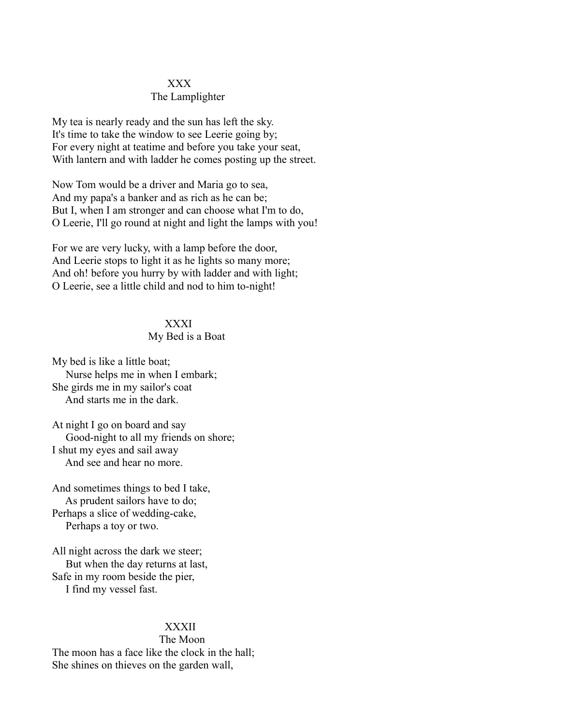#### XXX

#### The Lamplighter

My tea is nearly ready and the sun has left the sky. It's time to take the window to see Leerie going by; For every night at teatime and before you take your seat, With lantern and with ladder he comes posting up the street.

Now Tom would be a driver and Maria go to sea, And my papa's a banker and as rich as he can be; But I, when I am stronger and can choose what I'm to do, O Leerie, I'll go round at night and light the lamps with you!

For we are very lucky, with a lamp before the door, And Leerie stops to light it as he lights so many more; And oh! before you hurry by with ladder and with light; O Leerie, see a little child and nod to him to-night!

### XXXI

#### My Bed is a Boat

My bed is like a little boat; Nurse helps me in when I embark; She girds me in my sailor's coat And starts me in the dark.

At night I go on board and say Good-night to all my friends on shore; I shut my eyes and sail away And see and hear no more.

And sometimes things to bed I take, As prudent sailors have to do; Perhaps a slice of wedding-cake, Perhaps a toy or two.

All night across the dark we steer; But when the day returns at last, Safe in my room beside the pier, I find my vessel fast.

#### XXXII

 The Moon The moon has a face like the clock in the hall; She shines on thieves on the garden wall,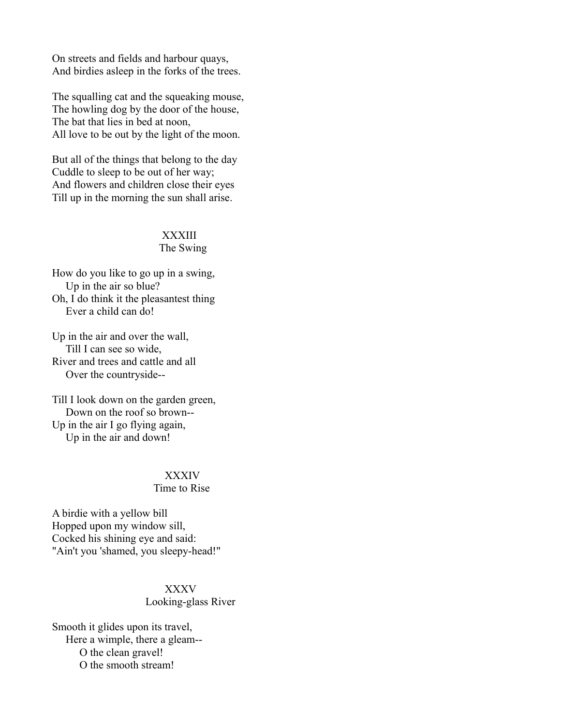On streets and fields and harbour quays, And birdies asleep in the forks of the trees.

The squalling cat and the squeaking mouse, The howling dog by the door of the house, The bat that lies in bed at noon, All love to be out by the light of the moon.

But all of the things that belong to the day Cuddle to sleep to be out of her way; And flowers and children close their eyes Till up in the morning the sun shall arise.

### XXXIII

### The Swing

How do you like to go up in a swing, Up in the air so blue? Oh, I do think it the pleasantest thing Ever a child can do!

Up in the air and over the wall, Till I can see so wide, River and trees and cattle and all Over the countryside--

Till I look down on the garden green, Down on the roof so brown-- Up in the air I go flying again, Up in the air and down!

### XXXIV

### Time to Rise

A birdie with a yellow bill Hopped upon my window sill, Cocked his shining eye and said: "Ain't you 'shamed, you sleepy-head!"

### XXXV

Looking-glass River

Smooth it glides upon its travel, Here a wimple, there a gleam-- O the clean gravel! O the smooth stream!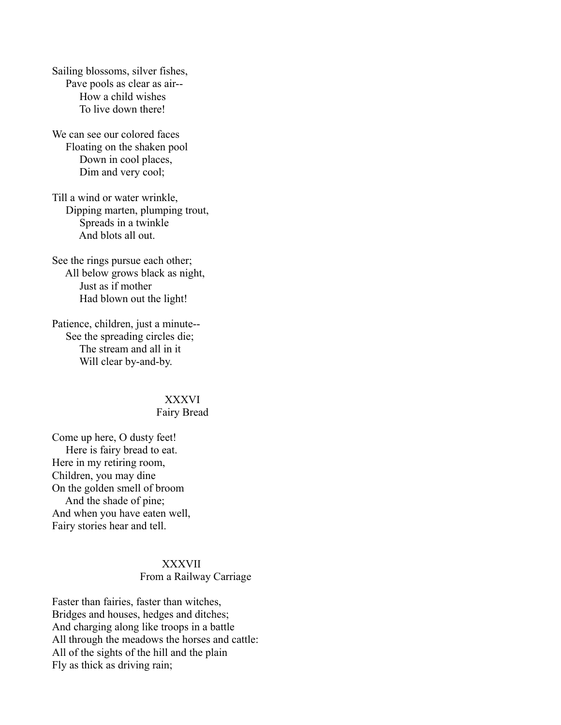Sailing blossoms, silver fishes, Pave pools as clear as air-- How a child wishes To live down there!

We can see our colored faces Floating on the shaken pool Down in cool places, Dim and very cool;

Till a wind or water wrinkle, Dipping marten, plumping trout, Spreads in a twinkle And blots all out.

See the rings pursue each other; All below grows black as night, Just as if mother Had blown out the light!

Patience, children, just a minute-- See the spreading circles die; The stream and all in it Will clear by-and-by.

#### XXXVI

#### Fairy Bread

Come up here, O dusty feet! Here is fairy bread to eat. Here in my retiring room, Children, you may dine On the golden smell of broom And the shade of pine; And when you have eaten well, Fairy stories hear and tell.

# XXXVII

### From a Railway Carriage

Faster than fairies, faster than witches, Bridges and houses, hedges and ditches; And charging along like troops in a battle All through the meadows the horses and cattle: All of the sights of the hill and the plain Fly as thick as driving rain;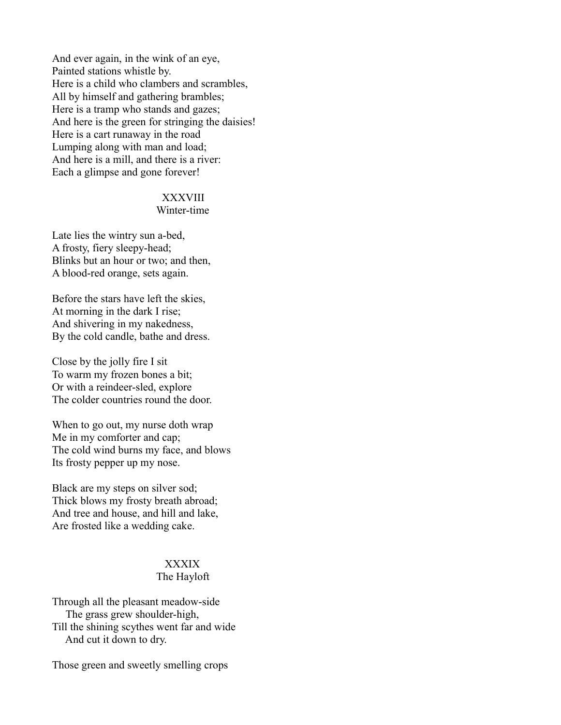And ever again, in the wink of an eye, Painted stations whistle by. Here is a child who clambers and scrambles, All by himself and gathering brambles; Here is a tramp who stands and gazes; And here is the green for stringing the daisies! Here is a cart runaway in the road Lumping along with man and load; And here is a mill, and there is a river: Each a glimpse and gone forever!

# XXXVIII

#### Winter-time

Late lies the wintry sun a-bed, A frosty, fiery sleepy-head; Blinks but an hour or two; and then, A blood-red orange, sets again.

Before the stars have left the skies, At morning in the dark I rise; And shivering in my nakedness, By the cold candle, bathe and dress.

Close by the jolly fire I sit To warm my frozen bones a bit; Or with a reindeer-sled, explore The colder countries round the door.

When to go out, my nurse doth wrap Me in my comforter and cap; The cold wind burns my face, and blows Its frosty pepper up my nose.

Black are my steps on silver sod; Thick blows my frosty breath abroad; And tree and house, and hill and lake, Are frosted like a wedding cake.

# XXXIX

### The Hayloft

Through all the pleasant meadow-side The grass grew shoulder-high, Till the shining scythes went far and wide And cut it down to dry.

Those green and sweetly smelling crops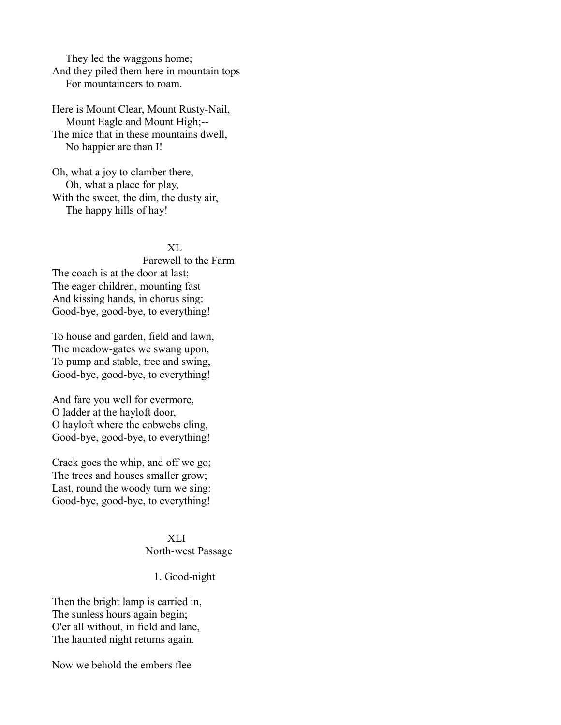They led the waggons home; And they piled them here in mountain tops For mountaineers to roam.

Here is Mount Clear, Mount Rusty-Nail, Mount Eagle and Mount High;-- The mice that in these mountains dwell, No happier are than I!

Oh, what a joy to clamber there, Oh, what a place for play, With the sweet, the dim, the dusty air, The happy hills of hay!

#### XL

 Farewell to the Farm The coach is at the door at last; The eager children, mounting fast And kissing hands, in chorus sing: Good-bye, good-bye, to everything!

To house and garden, field and lawn, The meadow-gates we swang upon, To pump and stable, tree and swing, Good-bye, good-bye, to everything!

And fare you well for evermore, O ladder at the hayloft door, O hayloft where the cobwebs cling, Good-bye, good-bye, to everything!

Crack goes the whip, and off we go; The trees and houses smaller grow; Last, round the woody turn we sing: Good-bye, good-bye, to everything!

#### XLI North-west Passage

#### 1. Good-night

Then the bright lamp is carried in, The sunless hours again begin; O'er all without, in field and lane, The haunted night returns again.

Now we behold the embers flee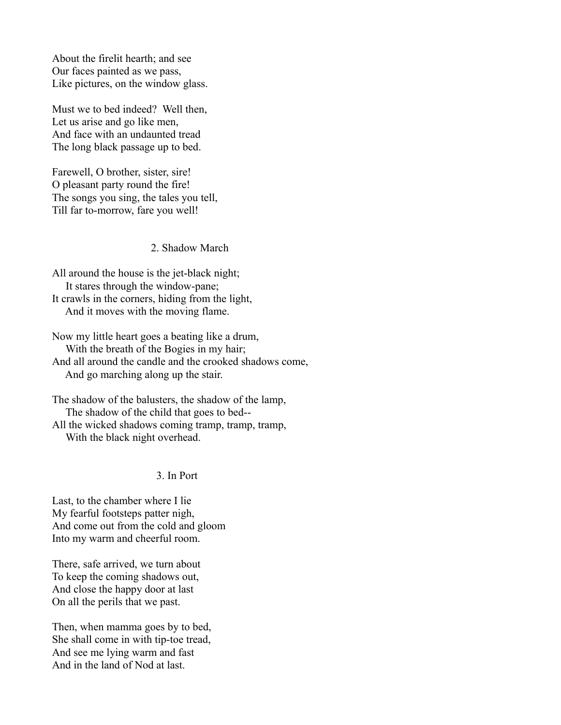About the firelit hearth; and see Our faces painted as we pass, Like pictures, on the window glass.

Must we to bed indeed? Well then, Let us arise and go like men, And face with an undaunted tread The long black passage up to bed.

Farewell, O brother, sister, sire! O pleasant party round the fire! The songs you sing, the tales you tell, Till far to-morrow, fare you well!

2. Shadow March

All around the house is the jet-black night; It stares through the window-pane; It crawls in the corners, hiding from the light, And it moves with the moving flame.

Now my little heart goes a beating like a drum, With the breath of the Bogies in my hair; And all around the candle and the crooked shadows come, And go marching along up the stair.

The shadow of the balusters, the shadow of the lamp, The shadow of the child that goes to bed-- All the wicked shadows coming tramp, tramp, tramp, With the black night overhead.

### 3. In Port

Last, to the chamber where I lie My fearful footsteps patter nigh, And come out from the cold and gloom Into my warm and cheerful room.

There, safe arrived, we turn about To keep the coming shadows out, And close the happy door at last On all the perils that we past.

Then, when mamma goes by to bed, She shall come in with tip-toe tread, And see me lying warm and fast And in the land of Nod at last.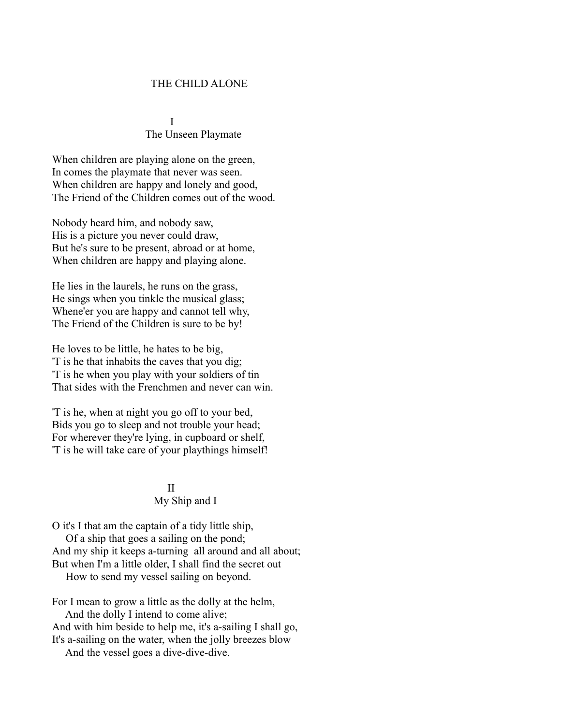### THE CHILD ALONE

 I The Unseen Playmate

When children are playing alone on the green, In comes the playmate that never was seen. When children are happy and lonely and good, The Friend of the Children comes out of the wood.

Nobody heard him, and nobody saw, His is a picture you never could draw, But he's sure to be present, abroad or at home, When children are happy and playing alone.

He lies in the laurels, he runs on the grass, He sings when you tinkle the musical glass; Whene'er you are happy and cannot tell why, The Friend of the Children is sure to be by!

He loves to be little, he hates to be big, 'T is he that inhabits the caves that you dig; 'T is he when you play with your soldiers of tin That sides with the Frenchmen and never can win.

'T is he, when at night you go off to your bed, Bids you go to sleep and not trouble your head; For wherever they're lying, in cupboard or shelf, 'T is he will take care of your playthings himself!

### <u>III am Bàrd ann an Dùbhlachd ann an Dùbhlachd ann an Dùbhlachd ann an Dùbhlachd ann an Dùbhlachd ann an Dùbhlachd ann an Dùbhlachd ann an Dùbhlachd ann an Dùbhlachd ann an Dùbhlachd ann an Dùbhlachd ann an Dùbhlachd ann a</u> My Ship and I

O it's I that am the captain of a tidy little ship, Of a ship that goes a sailing on the pond; And my ship it keeps a-turning all around and all about; But when I'm a little older, I shall find the secret out How to send my vessel sailing on beyond.

For I mean to grow a little as the dolly at the helm, And the dolly I intend to come alive; And with him beside to help me, it's a-sailing I shall go, It's a-sailing on the water, when the jolly breezes blow And the vessel goes a dive-dive-dive.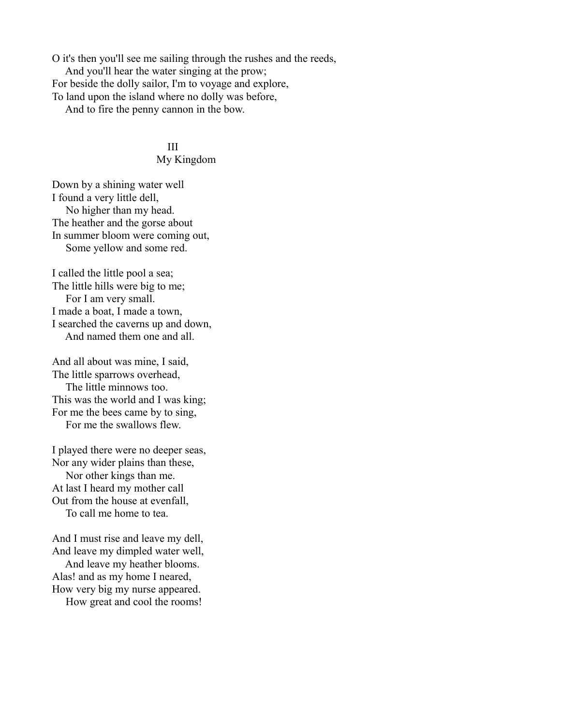O it's then you'll see me sailing through the rushes and the reeds, And you'll hear the water singing at the prow; For beside the dolly sailor, I'm to voyage and explore, To land upon the island where no dolly was before, And to fire the penny cannon in the bow.

**III** 

#### My Kingdom

Down by a shining water well I found a very little dell, No higher than my head. The heather and the gorse about In summer bloom were coming out, Some yellow and some red.

I called the little pool a sea; The little hills were big to me; For I am very small. I made a boat, I made a town, I searched the caverns up and down, And named them one and all.

And all about was mine, I said, The little sparrows overhead, The little minnows too. This was the world and I was king; For me the bees came by to sing, For me the swallows flew.

I played there were no deeper seas, Nor any wider plains than these, Nor other kings than me. At last I heard my mother call Out from the house at evenfall, To call me home to tea.

And I must rise and leave my dell, And leave my dimpled water well, And leave my heather blooms. Alas! and as my home I neared, How very big my nurse appeared. How great and cool the rooms!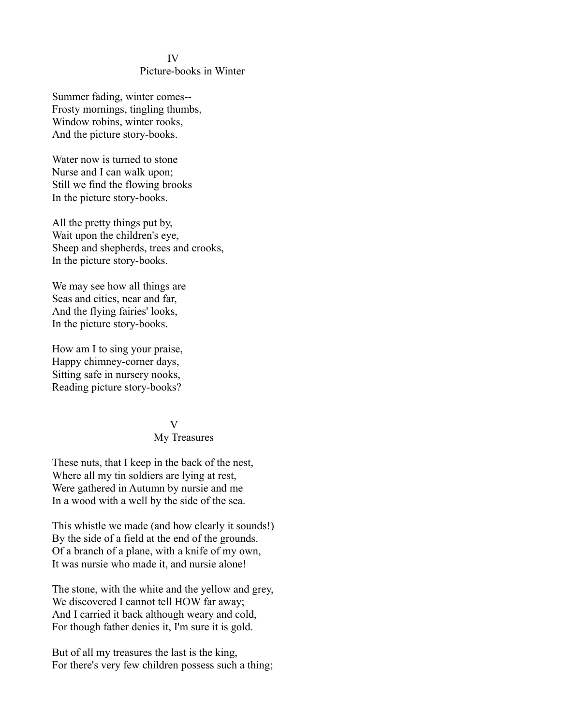#### IV

#### Picture-books in Winter

Summer fading, winter comes-- Frosty mornings, tingling thumbs, Window robins, winter rooks, And the picture story-books.

Water now is turned to stone Nurse and I can walk upon; Still we find the flowing brooks In the picture story-books.

All the pretty things put by, Wait upon the children's eye, Sheep and shepherds, trees and crooks, In the picture story-books.

We may see how all things are Seas and cities, near and far, And the flying fairies' looks, In the picture story-books.

How am I to sing your praise, Happy chimney-corner days, Sitting safe in nursery nooks, Reading picture story-books?

### V

#### My Treasures

These nuts, that I keep in the back of the nest, Where all my tin soldiers are lying at rest, Were gathered in Autumn by nursie and me In a wood with a well by the side of the sea.

This whistle we made (and how clearly it sounds!) By the side of a field at the end of the grounds. Of a branch of a plane, with a knife of my own, It was nursie who made it, and nursie alone!

The stone, with the white and the yellow and grey, We discovered I cannot tell HOW far away; And I carried it back although weary and cold, For though father denies it, I'm sure it is gold.

But of all my treasures the last is the king, For there's very few children possess such a thing;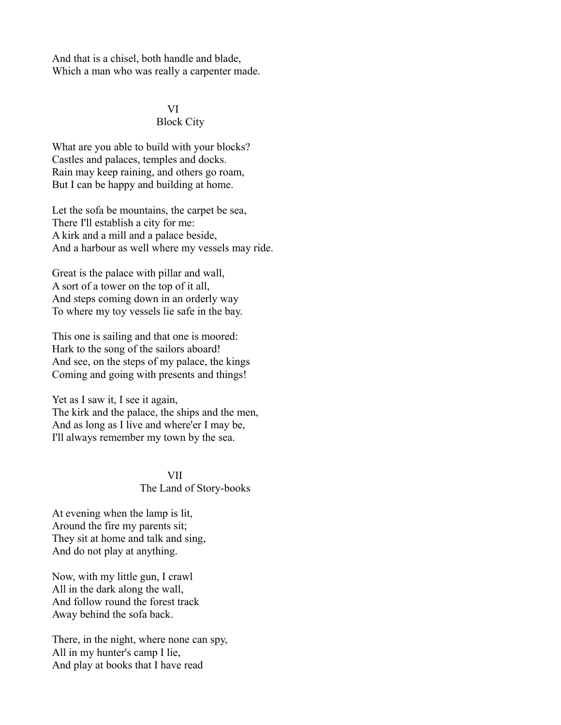And that is a chisel, both handle and blade, Which a man who was really a carpenter made.

### VI Block City

What are you able to build with your blocks? Castles and palaces, temples and docks. Rain may keep raining, and others go roam, But I can be happy and building at home.

Let the sofa be mountains, the carpet be sea, There I'll establish a city for me: A kirk and a mill and a palace beside, And a harbour as well where my vessels may ride.

Great is the palace with pillar and wall, A sort of a tower on the top of it all, And steps coming down in an orderly way To where my toy vessels lie safe in the bay.

This one is sailing and that one is moored: Hark to the song of the sailors aboard! And see, on the steps of my palace, the kings Coming and going with presents and things!

Yet as I saw it, I see it again, The kirk and the palace, the ships and the men, And as long as I live and where'er I may be, I'll always remember my town by the sea.

### VII The Land of Story-books

At evening when the lamp is lit, Around the fire my parents sit; They sit at home and talk and sing, And do not play at anything.

Now, with my little gun, I crawl All in the dark along the wall, And follow round the forest track Away behind the sofa back.

There, in the night, where none can spy, All in my hunter's camp I lie, And play at books that I have read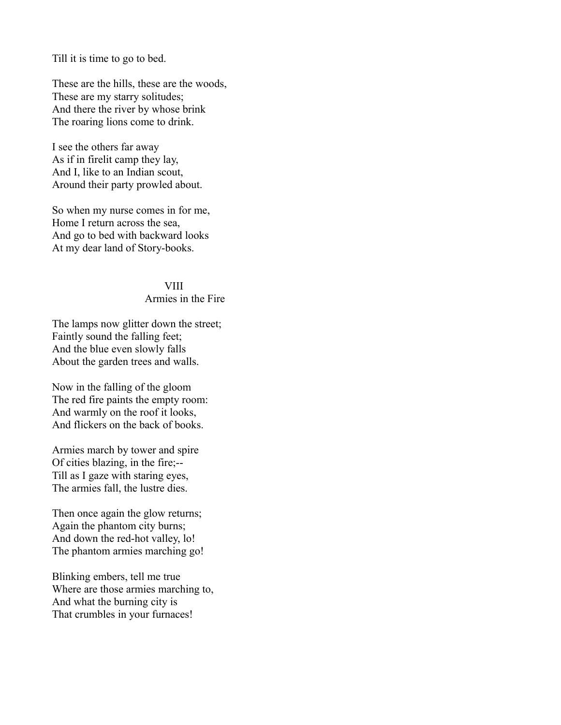Till it is time to go to bed.

These are the hills, these are the woods, These are my starry solitudes; And there the river by whose brink The roaring lions come to drink.

I see the others far away As if in firelit camp they lay, And I, like to an Indian scout, Around their party prowled about.

So when my nurse comes in for me, Home I return across the sea, And go to bed with backward looks At my dear land of Story-books.

### VIII

### Armies in the Fire

The lamps now glitter down the street; Faintly sound the falling feet; And the blue even slowly falls About the garden trees and walls.

Now in the falling of the gloom The red fire paints the empty room: And warmly on the roof it looks, And flickers on the back of books.

Armies march by tower and spire Of cities blazing, in the fire;-- Till as I gaze with staring eyes, The armies fall, the lustre dies.

Then once again the glow returns; Again the phantom city burns; And down the red-hot valley, lo! The phantom armies marching go!

Blinking embers, tell me true Where are those armies marching to, And what the burning city is That crumbles in your furnaces!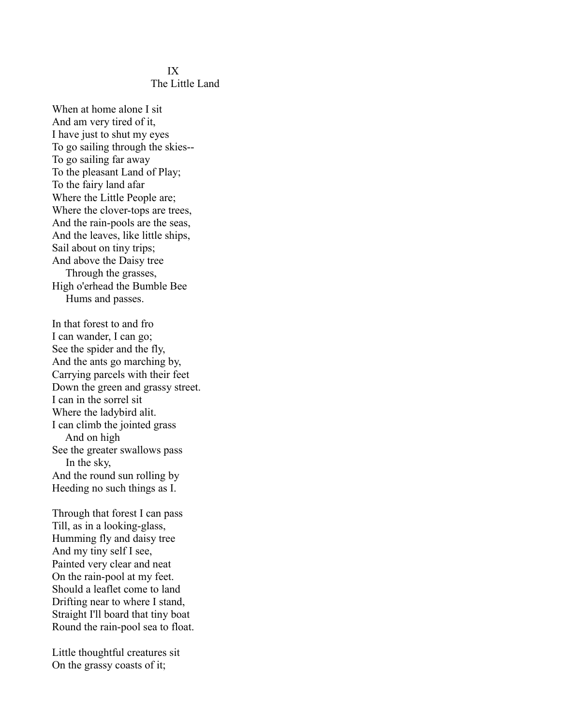#### IX The Little Land

When at home alone I sit And am very tired of it, I have just to shut my eyes To go sailing through the skies-- To go sailing far away To the pleasant Land of Play; To the fairy land afar Where the Little People are; Where the clover-tops are trees, And the rain-pools are the seas, And the leaves, like little ships, Sail about on tiny trips; And above the Daisy tree Through the grasses, High o'erhead the Bumble Bee Hums and passes.

In that forest to and fro I can wander, I can go; See the spider and the fly, And the ants go marching by, Carrying parcels with their feet Down the green and grassy street. I can in the sorrel sit Where the ladybird alit. I can climb the jointed grass And on high See the greater swallows pass In the sky, And the round sun rolling by Heeding no such things as I.

Through that forest I can pass Till, as in a looking-glass, Humming fly and daisy tree And my tiny self I see, Painted very clear and neat On the rain-pool at my feet. Should a leaflet come to land Drifting near to where I stand, Straight I'll board that tiny boat Round the rain-pool sea to float.

Little thoughtful creatures sit On the grassy coasts of it;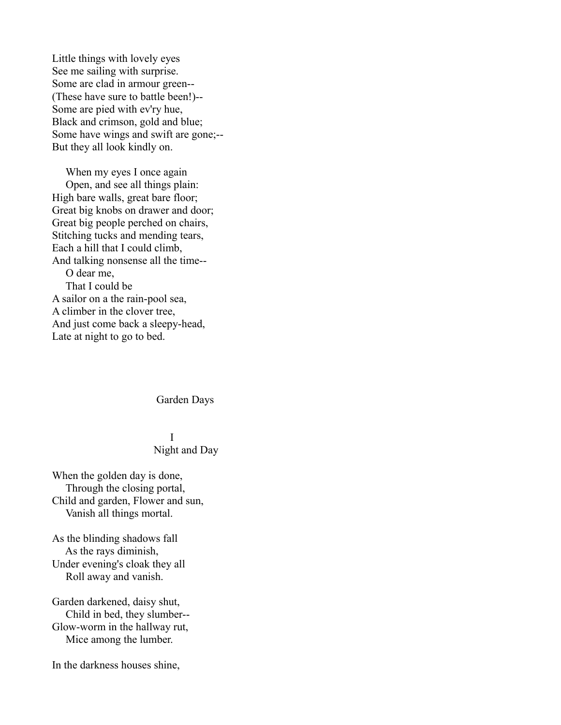Little things with lovely eyes See me sailing with surprise. Some are clad in armour green-- (These have sure to battle been!)-- Some are pied with ev'ry hue, Black and crimson, gold and blue; Some have wings and swift are gone;-- But they all look kindly on.

 When my eyes I once again Open, and see all things plain: High bare walls, great bare floor; Great big knobs on drawer and door; Great big people perched on chairs, Stitching tucks and mending tears, Each a hill that I could climb, And talking nonsense all the time-- O dear me, That I could be A sailor on a the rain-pool sea, A climber in the clover tree, And just come back a sleepy-head, Late at night to go to bed.

#### Garden Days

### I Night and Day

When the golden day is done, Through the closing portal, Child and garden, Flower and sun, Vanish all things mortal.

As the blinding shadows fall As the rays diminish, Under evening's cloak they all Roll away and vanish.

Garden darkened, daisy shut, Child in bed, they slumber-- Glow-worm in the hallway rut, Mice among the lumber.

In the darkness houses shine,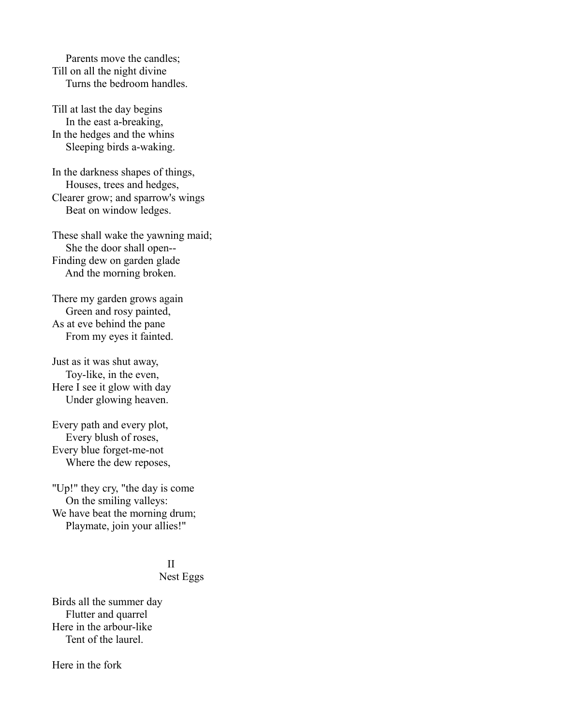Parents move the candles; Till on all the night divine Turns the bedroom handles.

Till at last the day begins In the east a-breaking, In the hedges and the whins Sleeping birds a-waking.

In the darkness shapes of things, Houses, trees and hedges, Clearer grow; and sparrow's wings Beat on window ledges.

These shall wake the yawning maid; She the door shall open-- Finding dew on garden glade And the morning broken.

There my garden grows again Green and rosy painted, As at eve behind the pane From my eyes it fainted.

Just as it was shut away, Toy-like, in the even, Here I see it glow with day Under glowing heaven.

Every path and every plot, Every blush of roses, Every blue forget-me-not Where the dew reposes,

"Up!" they cry, "the day is come On the smiling valleys: We have beat the morning drum; Playmate, join your allies!"

# <u>III am Bàrd ann an Dùbhlachd ann an Dùbhlachd ann an Dùbhlachd ann an Dùbhlachd ann an Dùbhlachd ann an Dùbhlachd ann an Dùbhlachd ann an Dùbhlachd ann an Dùbhlachd ann an Dùbhlachd ann an Dùbhlachd ann an Dùbhlachd ann a</u>

### Nest Eggs

Birds all the summer day Flutter and quarrel Here in the arbour-like Tent of the laurel.

Here in the fork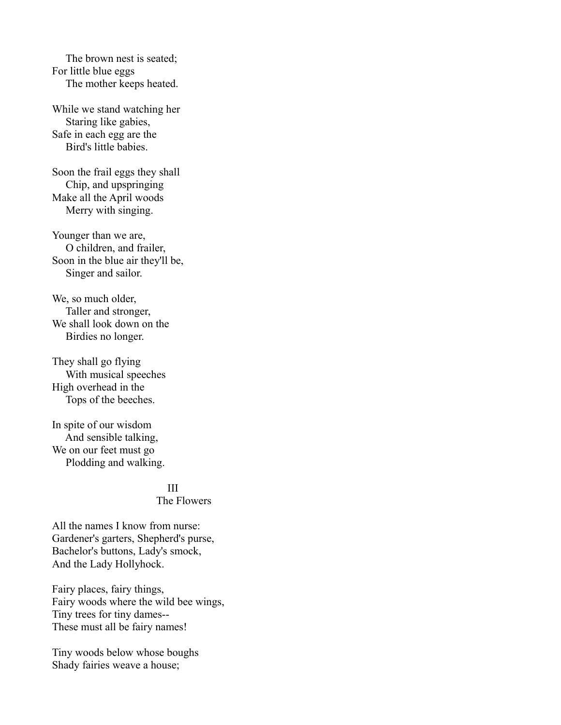The brown nest is seated; For little blue eggs The mother keeps heated.

While we stand watching her Staring like gabies, Safe in each egg are the Bird's little babies.

Soon the frail eggs they shall Chip, and upspringing Make all the April woods Merry with singing.

Younger than we are, O children, and frailer, Soon in the blue air they'll be, Singer and sailor.

We, so much older, Taller and stronger, We shall look down on the Birdies no longer.

They shall go flying With musical speeches High overhead in the Tops of the beeches.

In spite of our wisdom And sensible talking, We on our feet must go Plodding and walking.

# <u>III</u>

The Flowers

All the names I know from nurse: Gardener's garters, Shepherd's purse, Bachelor's buttons, Lady's smock, And the Lady Hollyhock.

Fairy places, fairy things, Fairy woods where the wild bee wings, Tiny trees for tiny dames-- These must all be fairy names!

Tiny woods below whose boughs Shady fairies weave a house;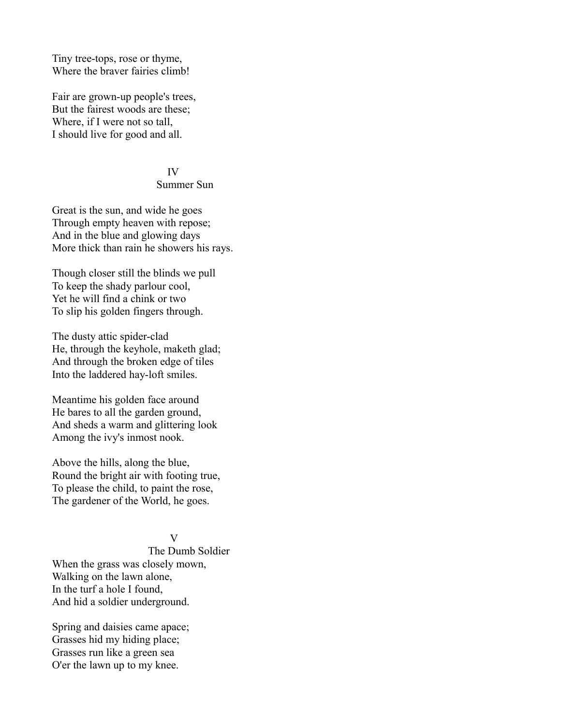Tiny tree-tops, rose or thyme, Where the braver fairies climb!

Fair are grown-up people's trees, But the fairest woods are these; Where, if I were not so tall, I should live for good and all.

#### IV

#### Summer Sun

Great is the sun, and wide he goes Through empty heaven with repose; And in the blue and glowing days More thick than rain he showers his rays.

Though closer still the blinds we pull To keep the shady parlour cool, Yet he will find a chink or two To slip his golden fingers through.

The dusty attic spider-clad He, through the keyhole, maketh glad; And through the broken edge of tiles Into the laddered hay-loft smiles.

Meantime his golden face around He bares to all the garden ground, And sheds a warm and glittering look Among the ivy's inmost nook.

Above the hills, along the blue, Round the bright air with footing true, To please the child, to paint the rose, The gardener of the World, he goes.

#### V

 The Dumb Soldier When the grass was closely mown, Walking on the lawn alone, In the turf a hole I found, And hid a soldier underground.

Spring and daisies came apace; Grasses hid my hiding place; Grasses run like a green sea O'er the lawn up to my knee.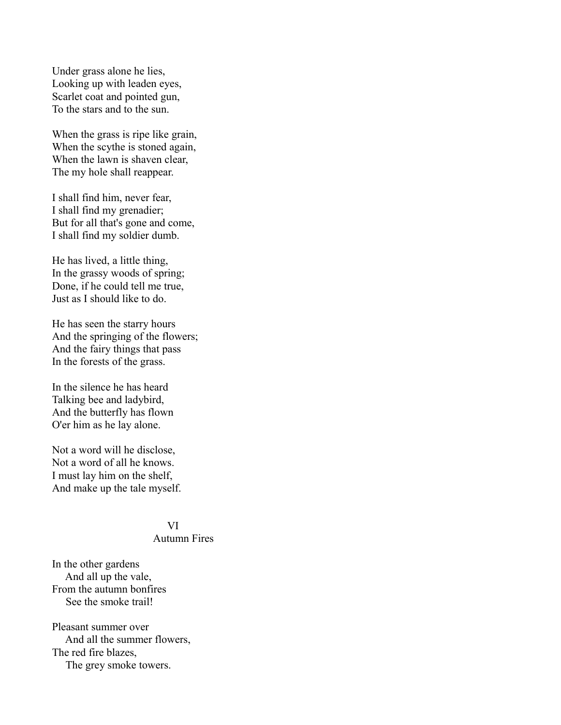Under grass alone he lies, Looking up with leaden eyes, Scarlet coat and pointed gun, To the stars and to the sun.

When the grass is ripe like grain, When the scythe is stoned again, When the lawn is shaven clear, The my hole shall reappear.

I shall find him, never fear, I shall find my grenadier; But for all that's gone and come, I shall find my soldier dumb.

He has lived, a little thing, In the grassy woods of spring; Done, if he could tell me true, Just as I should like to do.

He has seen the starry hours And the springing of the flowers; And the fairy things that pass In the forests of the grass.

In the silence he has heard Talking bee and ladybird, And the butterfly has flown O'er him as he lay alone.

Not a word will he disclose, Not a word of all he knows. I must lay him on the shelf, And make up the tale myself.

#### VI

### Autumn Fires

In the other gardens And all up the vale, From the autumn bonfires See the smoke trail!

Pleasant summer over And all the summer flowers, The red fire blazes, The grey smoke towers.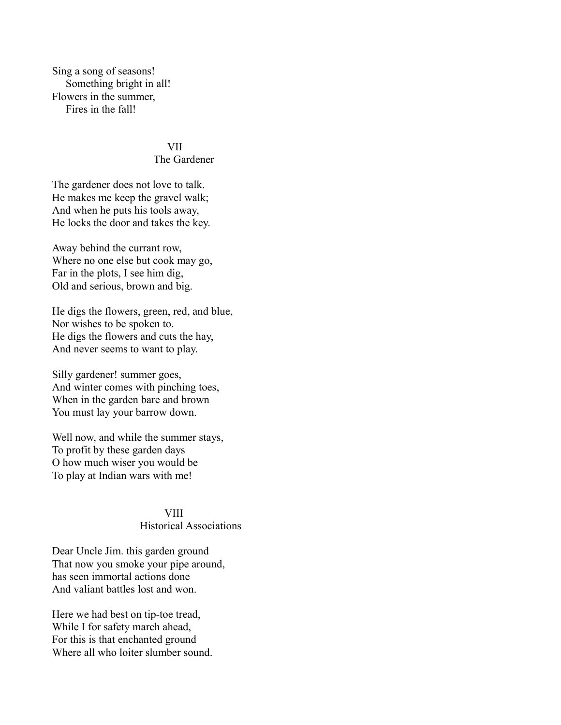Sing a song of seasons! Something bright in all! Flowers in the summer, Fires in the fall!

#### VII

#### The Gardener

The gardener does not love to talk. He makes me keep the gravel walk; And when he puts his tools away, He locks the door and takes the key.

Away behind the currant row, Where no one else but cook may go, Far in the plots, I see him dig, Old and serious, brown and big.

He digs the flowers, green, red, and blue, Nor wishes to be spoken to. He digs the flowers and cuts the hay, And never seems to want to play.

Silly gardener! summer goes, And winter comes with pinching toes, When in the garden bare and brown You must lay your barrow down.

Well now, and while the summer stays, To profit by these garden days O how much wiser you would be To play at Indian wars with me!

# **VIII**

# Historical Associations

Dear Uncle Jim. this garden ground That now you smoke your pipe around, has seen immortal actions done And valiant battles lost and won.

Here we had best on tip-toe tread, While I for safety march ahead, For this is that enchanted ground Where all who loiter slumber sound.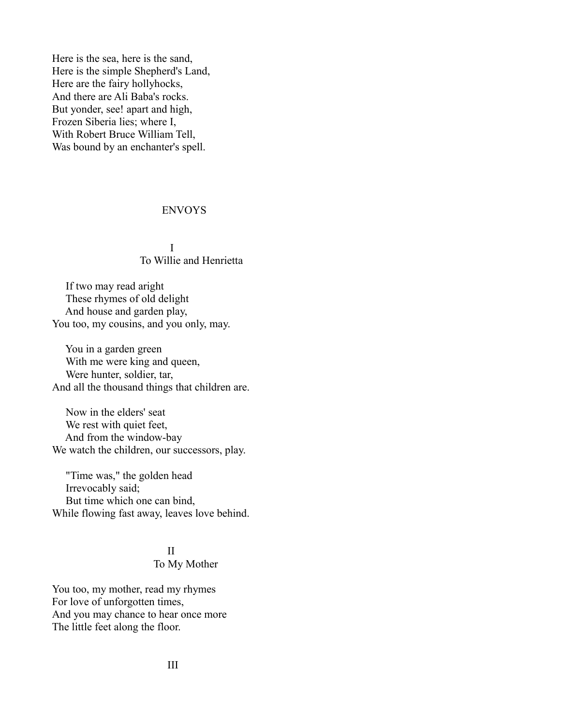Here is the sea, here is the sand, Here is the simple Shepherd's Land, Here are the fairy hollyhocks, And there are Ali Baba's rocks. But yonder, see! apart and high, Frozen Siberia lies; where I, With Robert Bruce William Tell, Was bound by an enchanter's spell.

### ENVOYS

### I To Willie and Henrietta

 If two may read aright These rhymes of old delight And house and garden play, You too, my cousins, and you only, may.

 You in a garden green With me were king and queen, Were hunter, soldier, tar, And all the thousand things that children are.

 Now in the elders' seat We rest with quiet feet, And from the window-bay We watch the children, our successors, play.

 "Time was," the golden head Irrevocably said; But time which one can bind, While flowing fast away, leaves love behind.

### <u>III am Bàrd ann an Dùbhlachd ann an Dùbhlachd ann an Dùbhlachd ann an Dùbhlachd ann an Dùbhlachd ann an Dùbhlachd ann an Dùbhlachd ann an Dùbhlachd ann an Dùbhlachd ann an Dùbhlachd ann an Dùbhlachd ann an Dùbhlachd ann a</u>

### To My Mother

You too, my mother, read my rhymes For love of unforgotten times, And you may chance to hear once more The little feet along the floor.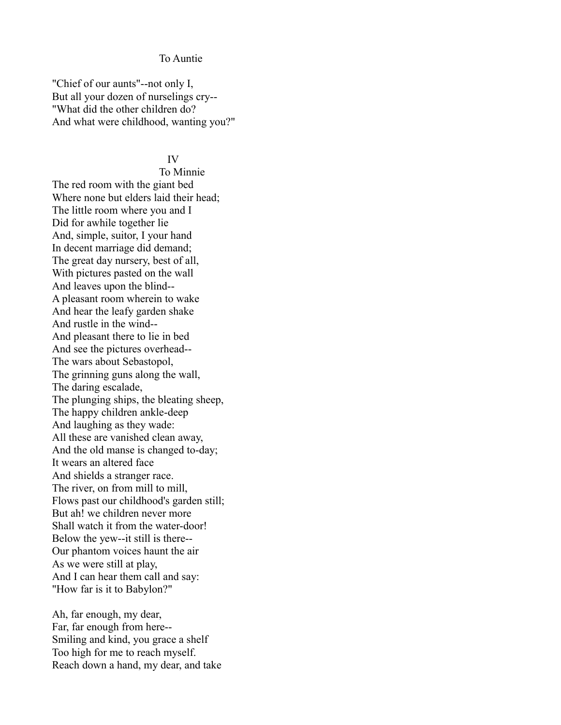#### To Auntie

"Chief of our aunts"--not only I, But all your dozen of nurselings cry-- "What did the other children do? And what were childhood, wanting you?"

#### IV

 To Minnie The red room with the giant bed Where none but elders laid their head; The little room where you and I Did for awhile together lie And, simple, suitor, I your hand In decent marriage did demand; The great day nursery, best of all, With pictures pasted on the wall And leaves upon the blind-- A pleasant room wherein to wake And hear the leafy garden shake And rustle in the wind-- And pleasant there to lie in bed And see the pictures overhead-- The wars about Sebastopol, The grinning guns along the wall, The daring escalade, The plunging ships, the bleating sheep, The happy children ankle-deep And laughing as they wade: All these are vanished clean away, And the old manse is changed to-day; It wears an altered face And shields a stranger race. The river, on from mill to mill, Flows past our childhood's garden still; But ah! we children never more Shall watch it from the water-door! Below the yew--it still is there-- Our phantom voices haunt the air As we were still at play, And I can hear them call and say: "How far is it to Babylon?"

Ah, far enough, my dear, Far, far enough from here-- Smiling and kind, you grace a shelf Too high for me to reach myself. Reach down a hand, my dear, and take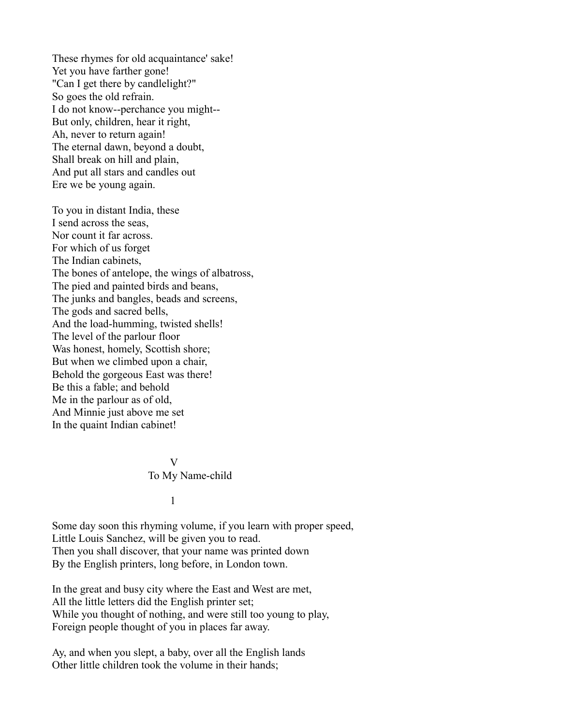These rhymes for old acquaintance' sake! Yet you have farther gone! "Can I get there by candlelight?" So goes the old refrain. I do not know--perchance you might-- But only, children, hear it right, Ah, never to return again! The eternal dawn, beyond a doubt, Shall break on hill and plain, And put all stars and candles out Ere we be young again.

To you in distant India, these I send across the seas, Nor count it far across. For which of us forget The Indian cabinets, The bones of antelope, the wings of albatross, The pied and painted birds and beans, The junks and bangles, beads and screens, The gods and sacred bells, And the load-humming, twisted shells! The level of the parlour floor Was honest, homely, Scottish shore; But when we climbed upon a chair, Behold the gorgeous East was there! Be this a fable; and behold Me in the parlour as of old, And Minnie just above me set In the quaint Indian cabinet!

### V To My Name-child

 $1$ 

Some day soon this rhyming volume, if you learn with proper speed, Little Louis Sanchez, will be given you to read. Then you shall discover, that your name was printed down By the English printers, long before, in London town.

In the great and busy city where the East and West are met, All the little letters did the English printer set; While you thought of nothing, and were still too young to play, Foreign people thought of you in places far away.

Ay, and when you slept, a baby, over all the English lands Other little children took the volume in their hands;